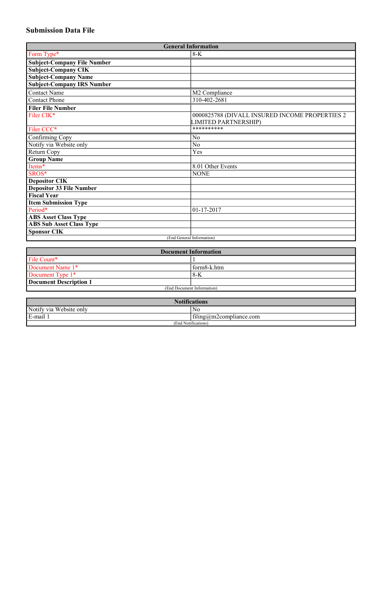### **Submission Data File**

| <b>General Information</b>         |                                                                        |  |
|------------------------------------|------------------------------------------------------------------------|--|
| Form Type*                         | $8-K$                                                                  |  |
| <b>Subject-Company File Number</b> |                                                                        |  |
| <b>Subject-Company CIK</b>         |                                                                        |  |
| <b>Subject-Company Name</b>        |                                                                        |  |
| <b>Subject-Company IRS Number</b>  |                                                                        |  |
| <b>Contact Name</b>                | M2 Compliance                                                          |  |
| <b>Contact Phone</b>               | 310-402-2681                                                           |  |
| <b>Filer File Number</b>           |                                                                        |  |
| Filer CIK*                         | 0000825788 (DIVALL INSURED INCOME PROPERTIES 2<br>LIMITED PARTNERSHIP) |  |
| Filer CCC*                         | **********                                                             |  |
| Confirming Copy                    | N <sub>o</sub>                                                         |  |
| Notify via Website only            | N <sub>o</sub>                                                         |  |
| Return Copy                        | Yes                                                                    |  |
| <b>Group Name</b>                  |                                                                        |  |
| Items*                             | 8.01 Other Events                                                      |  |
| SROS*                              | <b>NONE</b>                                                            |  |
| <b>Depositor CIK</b>               |                                                                        |  |
| <b>Depositor 33 File Number</b>    |                                                                        |  |
| <b>Fiscal Year</b>                 |                                                                        |  |
| <b>Item Submission Type</b>        |                                                                        |  |
| Period*                            | 01-17-2017                                                             |  |
| <b>ABS Asset Class Type</b>        |                                                                        |  |
| <b>ABS Sub Asset Class Type</b>    |                                                                        |  |
| <b>Sponsor CIK</b>                 |                                                                        |  |
| (End General Information)          |                                                                        |  |

| <b>Document Information</b> |             |
|-----------------------------|-------------|
| File Count*                 |             |
| Document Name 1*            | form8-k.htm |
| Document Type $1*$          | $8-K$       |
| Document Description 1      |             |
| (End Document Information)  |             |

| <b>Notifications</b>              |                                       |  |
|-----------------------------------|---------------------------------------|--|
| Notify via<br><b>Website only</b> | NC                                    |  |
| E-mail 1                          | $t$ lling( <i>a</i> )m2compliance.com |  |
| (End Notifications)               |                                       |  |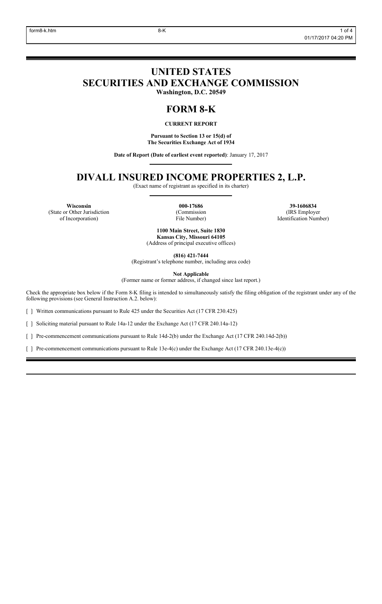# **UNITED STATES SECURITIES AND EXCHANGE COMMISSION**

**Washington, D.C. 20549**

## **FORM 8-K**

**CURRENT REPORT**

**Pursuant to Section 13 or 15(d) of The Securities Exchange Act of 1934**

**Date of Report (Date of earliest event reported)**: January 17, 2017

## **DIVALL INSURED INCOME PROPERTIES 2, L.P.**

(Exact name of registrant as specified in its charter)

(State or Other Jurisdiction of Incorporation)

(Commission File Number)

**Wisconsin 000-17686 39-1606834** (IRS Employer Identification Number)

> **1100 Main Street, Suite 1830 Kansas City, Missouri 64105** (Address of principal executive offices)

> > **(816) 421-7444**

(Registrant's telephone number, including area code)

**Not Applicable**

(Former name or former address, if changed since last report.)

Check the appropriate box below if the Form 8-K filing is intended to simultaneously satisfy the filing obligation of the registrant under any of the following provisions (see General Instruction A.2. below):

[ ] Written communications pursuant to Rule 425 under the Securities Act (17 CFR 230.425)

[ ] Soliciting material pursuant to Rule 14a-12 under the Exchange Act (17 CFR 240.14a-12)

[ ] Pre-commencement communications pursuant to Rule 14d-2(b) under the Exchange Act (17 CFR 240.14d-2(b))

[ ] Pre-commencement communications pursuant to Rule 13e-4(c) under the Exchange Act (17 CFR 240.13e-4(c))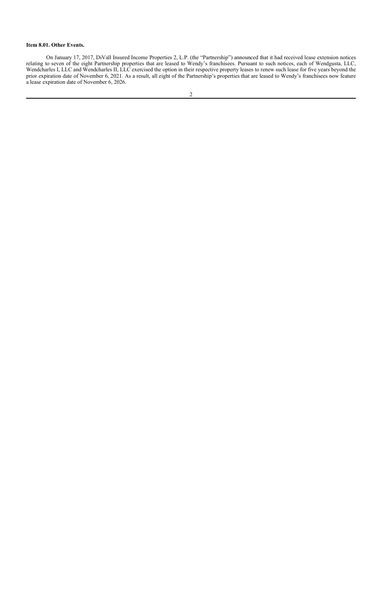#### **Item 8.01. Other Events.**

On January 17, 2017, DiVall Insured Income Properties 2, L.P. (the "Partnership") announced that it had received lease extension notices relating to seven of the eight Partnership properties that are leased to Wendy's franchisees. Pursuant to such notices, each of Wendgusta, LLC, Wendcharles I, LLC and Wendcharles II, LLC exercised the option in their respective property leases to renew such lease for five years beyond the prior expiration date of November 6, 2021. As a result, all eight of the Partnership's properties that are leased to Wendy's franchisees now feature a lease expiration date of November 6, 2026.